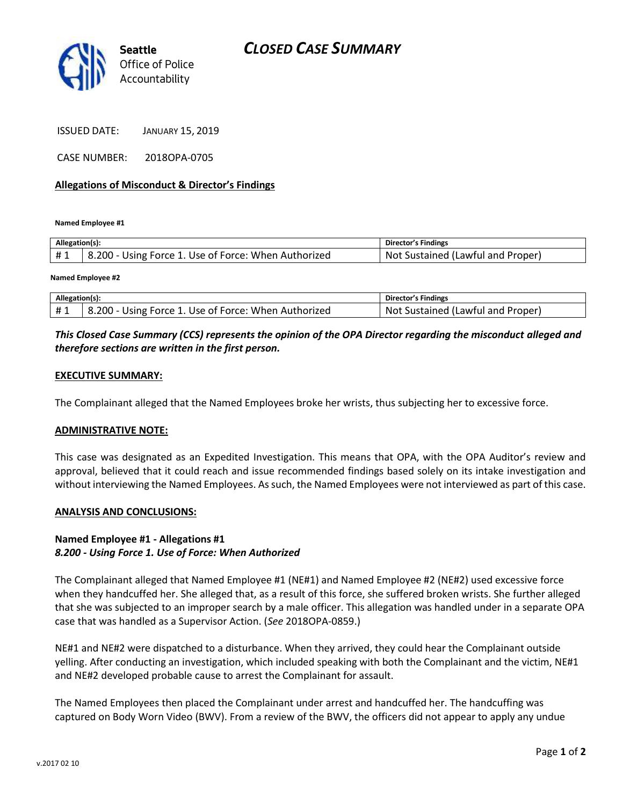

ISSUED DATE: JANUARY 15, 2019

CASE NUMBER: 2018OPA-0705

#### **Allegations of Misconduct & Director's Findings**

**Named Employee #1**

| Allegation(s): |                                                      | Director's Findings               |
|----------------|------------------------------------------------------|-----------------------------------|
| #1             | 8.200 - Using Force 1. Use of Force: When Authorized | Not Sustained (Lawful and Proper) |
|                |                                                      |                                   |

**Named Employee #2**

| Allegation(s): |                                                      | Director's Findings               |
|----------------|------------------------------------------------------|-----------------------------------|
| #1             | 8.200 - Using Force 1. Use of Force: When Authorized | Not Sustained (Lawful and Proper) |

## *This Closed Case Summary (CCS) represents the opinion of the OPA Director regarding the misconduct alleged and therefore sections are written in the first person.*

#### **EXECUTIVE SUMMARY:**

The Complainant alleged that the Named Employees broke her wrists, thus subjecting her to excessive force.

#### **ADMINISTRATIVE NOTE:**

This case was designated as an Expedited Investigation. This means that OPA, with the OPA Auditor's review and approval, believed that it could reach and issue recommended findings based solely on its intake investigation and without interviewing the Named Employees. As such, the Named Employees were not interviewed as part of this case.

#### **ANALYSIS AND CONCLUSIONS:**

### **Named Employee #1 - Allegations #1** *8.200 - Using Force 1. Use of Force: When Authorized*

The Complainant alleged that Named Employee #1 (NE#1) and Named Employee #2 (NE#2) used excessive force when they handcuffed her. She alleged that, as a result of this force, she suffered broken wrists. She further alleged that she was subjected to an improper search by a male officer. This allegation was handled under in a separate OPA case that was handled as a Supervisor Action. (*See* 2018OPA-0859.)

NE#1 and NE#2 were dispatched to a disturbance. When they arrived, they could hear the Complainant outside yelling. After conducting an investigation, which included speaking with both the Complainant and the victim, NE#1 and NE#2 developed probable cause to arrest the Complainant for assault.

The Named Employees then placed the Complainant under arrest and handcuffed her. The handcuffing was captured on Body Worn Video (BWV). From a review of the BWV, the officers did not appear to apply any undue